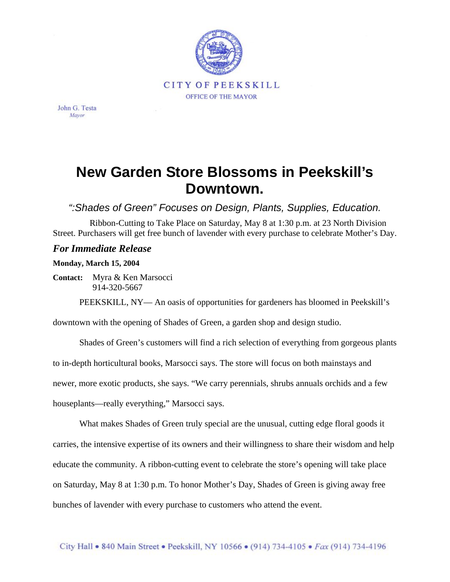

John G. Testa Mayor

## **New Garden Store Blossoms in Peekskill's Downtown.**

*":Shades of Green" Focuses on Design, Plants, Supplies, Education.*

Ribbon-Cutting to Take Place on Saturday, May 8 at 1:30 p.m. at 23 North Division Street. Purchasers will get free bunch of lavender with every purchase to celebrate Mother's Day.

## *For Immediate Release*

## **Monday, March 15, 2004**

**Contact:** Myra & Ken Marsocci 914-320-5667

PEEKSKILL, NY— An oasis of opportunities for gardeners has bloomed in Peekskill's

downtown with the opening of Shades of Green, a garden shop and design studio.

Shades of Green's customers will find a rich selection of everything from gorgeous plants

to in-depth horticultural books, Marsocci says. The store will focus on both mainstays and

newer, more exotic products, she says. "We carry perennials, shrubs annuals orchids and a few

houseplants—really everything," Marsocci says.

What makes Shades of Green truly special are the unusual, cutting edge floral goods it carries, the intensive expertise of its owners and their willingness to share their wisdom and help educate the community. A ribbon-cutting event to celebrate the store's opening will take place on Saturday, May 8 at 1:30 p.m. To honor Mother's Day, Shades of Green is giving away free bunches of lavender with every purchase to customers who attend the event.